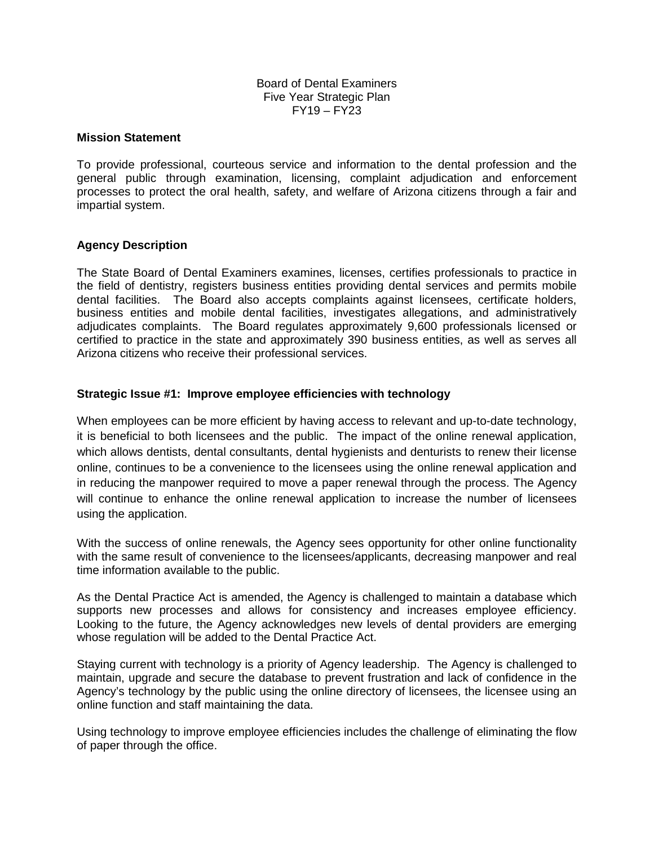Board of Dental Examiners Five Year Strategic Plan FY19 – FY23

#### **Mission Statement**

To provide professional, courteous service and information to the dental profession and the general public through examination, licensing, complaint adjudication and enforcement processes to protect the oral health, safety, and welfare of Arizona citizens through a fair and impartial system.

### **Agency Description**

The State Board of Dental Examiners examines, licenses, certifies professionals to practice in the field of dentistry, registers business entities providing dental services and permits mobile dental facilities. The Board also accepts complaints against licensees, certificate holders, business entities and mobile dental facilities, investigates allegations, and administratively adjudicates complaints. The Board regulates approximately 9,600 professionals licensed or certified to practice in the state and approximately 390 business entities, as well as serves all Arizona citizens who receive their professional services.

### **Strategic Issue #1: Improve employee efficiencies with technology**

When employees can be more efficient by having access to relevant and up-to-date technology, it is beneficial to both licensees and the public. The impact of the online renewal application, which allows dentists, dental consultants, dental hygienists and denturists to renew their license online, continues to be a convenience to the licensees using the online renewal application and in reducing the manpower required to move a paper renewal through the process. The Agency will continue to enhance the online renewal application to increase the number of licensees using the application.

With the success of online renewals, the Agency sees opportunity for other online functionality with the same result of convenience to the licensees/applicants, decreasing manpower and real time information available to the public.

As the Dental Practice Act is amended, the Agency is challenged to maintain a database which supports new processes and allows for consistency and increases employee efficiency. Looking to the future, the Agency acknowledges new levels of dental providers are emerging whose regulation will be added to the Dental Practice Act.

Staying current with technology is a priority of Agency leadership. The Agency is challenged to maintain, upgrade and secure the database to prevent frustration and lack of confidence in the Agency's technology by the public using the online directory of licensees, the licensee using an online function and staff maintaining the data.

Using technology to improve employee efficiencies includes the challenge of eliminating the flow of paper through the office.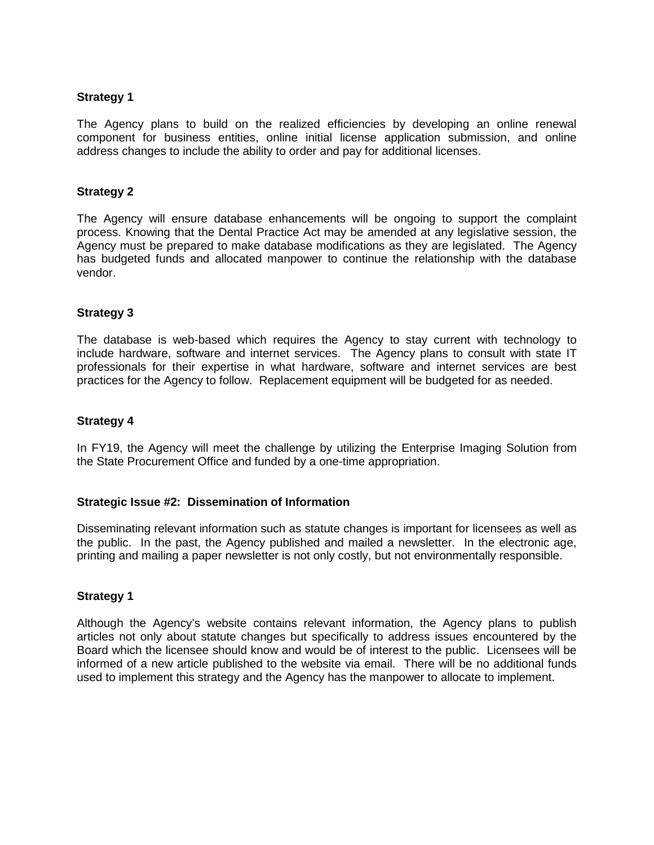### **Strategy 1**

The Agency plans to build on the realized efficiencies by developing an online renewal component for business entities, online initial license application submission, and online address changes to include the ability to order and pay for additional licenses.

### **Strategy 2**

The Agency will ensure database enhancements will be ongoing to support the complaint process. Knowing that the Dental Practice Act may be amended at any legislative session, the Agency must be prepared to make database modifications as they are legislated. The Agency has budgeted funds and allocated manpower to continue the relationship with the database vendor.

### **Strategy 3**

The database is web-based which requires the Agency to stay current with technology to include hardware, software and internet services. The Agency plans to consult with state IT professionals for their expertise in what hardware, software and internet services are best practices for the Agency to follow. Replacement equipment will be budgeted for as needed.

### **Strategy 4**

In FY19, the Agency will meet the challenge by utilizing the Enterprise Imaging Solution from the State Procurement Office and funded by a one-time appropriation.

#### **Strategic Issue #2: Dissemination of Information**

Disseminating relevant information such as statute changes is important for licensees as well as the public. In the past, the Agency published and mailed a newsletter. In the electronic age, printing and mailing a paper newsletter is not only costly, but not environmentally responsible.

## **Strategy 1**

Although the Agency's website contains relevant information, the Agency plans to publish articles not only about statute changes but specifically to address issues encountered by the Board which the licensee should know and would be of interest to the public. Licensees will be informed of a new article published to the website via email. There will be no additional funds used to implement this strategy and the Agency has the manpower to allocate to implement.